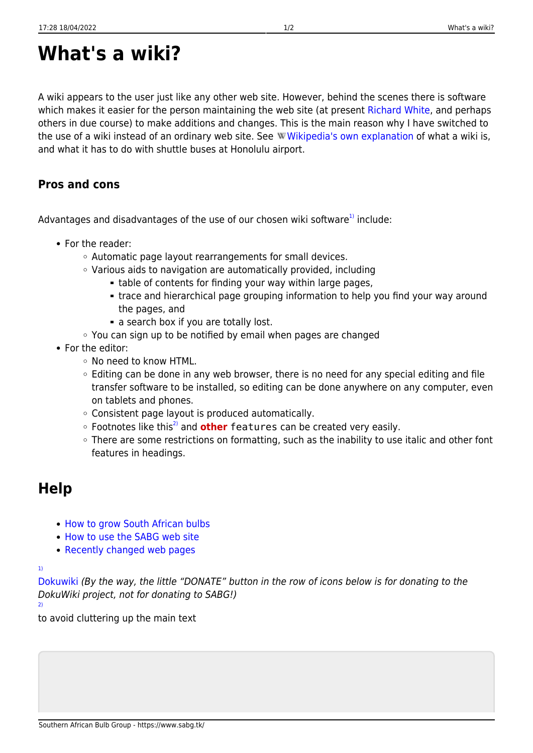## **What's a wiki?**

A wiki appears to the user just like any other web site. However, behind the scenes there is software which makes it easier for the person maintaining the web site (at present [Richard White](https://www.sabg.tk/user:richard:start), and perhaps others in due course) to make additions and changes. This is the main reason why I have switched to the use of a wiki instead of an ordinary web site. See W[Wikipedia's own explanation](https://en.wikipedia.org/wiki/Wiki) of what a wiki is, and what it has to do with shuttle buses at Honolulu airport.

## **Pros and cons**

Advantages and disadvantages of the use of our chosen wiki software $1$  include:

- For the reader:
	- Automatic page layout rearrangements for small devices.
	- Various aids to navigation are automatically provided, including
		- table of contents for finding your way within large pages,
		- trace and hierarchical page grouping information to help you find your way around the pages, and
		- a search box if you are totally lost.
	- You can sign up to be notified by email when pages are changed
- For the editor:
	- No need to know HTML.
	- $\circ$  Editing can be done in any web browser, there is no need for any special editing and file transfer software to be installed, so editing can be done anywhere on any computer, even on tablets and phones.
	- Consistent page layout is produced automatically.
	- Footnotes like this<sup>[2\)](#page--1-0)</sup> and **other** features can be created very easily.
	- There are some restrictions on formatting, such as the inability to use italic and other font features in headings.

## **Help**

- [How to grow South African bulbs](https://www.sabg.tk/help:cult:start)
- [How to use the SABG web site](https://www.sabg.tk/help:web:start)
- [Recently changed web pages](https://www.sabg.tk/info:web:changes:start)

[1\)](#page--1-0)

[Dokuwiki](http://dokuwiki.org) (By the way, the little "DONATE" button in the row of icons below is for donating to the DokuWiki project, not for donating to SABG!) [2\)](#page--1-0)

to avoid cluttering up the main text